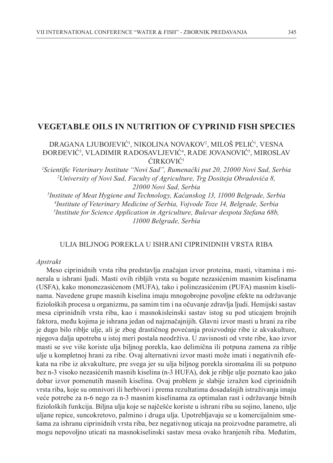# **VEGETABLE OILS IN NUTRITION OF CYPRINID FISH SPECIES**

## DRAGANA LJUBOJEVIĆ', NIKOLINA NOVAKOV<sup>2</sup>, MILOŠ PELIĆ', VESNA ĐORĐEVIĆ<sup>3</sup>, VLADIMIR RADOSAVLJEVIĆ<sup>4</sup>, RADE JOVANOVIĆ<sup>5</sup>, MIROSLAV ĆIRKOVIĆ<sup>1</sup>

*1 Scientific Veterinary Institute "Novi Sad", Rumenački put 20, 21000 Novi Sad, Serbia 2 University of Novi Sad, Faculty of Agriculture, Trg Dositeja Obradovića 8, 21000 Novi Sad, Serbia*

 *Institute of Meat Hygiene and Technology, Kaćanskog 13, 11000 Belgrade, Serbia Institute of Veterinary Medicine of Serbia, Vojvode Toze 14, Belgrade, Serbia Institute for Science Application in Agriculture, Bulevar despota Stefana 68b, 11000 Belgrade, Serbia*

### ULJA BILJNOG POREKLA U ISHRANI CIPRINIDNIH VRSTA RIBA

#### *Apstrakt*

Meso ciprinidnih vrsta riba predstavlja značajan izvor proteina, masti, vitamina i minerala u ishrani ljudi. Masti ovih ribljih vrsta su bogate nezasićenim masnim kiselinama (USFA), kako mononezasićenom (MUFA), tako i polinezasićenim (PUFA) masnim kiselinama. Navedene grupe masnih kiselina imaju mnogobrojne povoljne efekte na održavanje fizioloških procesa u organizmu, pa samim tim i na očuvanje zdravlja ljudi. Hemijski sastav mesa ciprinidnih vrsta riba, kao i masnokisleinski sastav istog su pod uticajem brojnih faktora, među kojima je ishrana jedan od najznačajnijih. Glavni izvor masti u hrani za ribe je dugo bilo riblje ulje, ali je zbog drastičnog povećanja proizvodnje ribe iz akvakulture, njegova dalja upotreba u istoj meri postala neodrživa. U zavisnosti od vrste ribe, kao izvor masti se sve više koriste ulja biljnog porekla, kao delimična ili potpuna zamena za riblje ulje u kompletnoj hrani za ribe. Ovaj alternativni izvor masti može imati i negativnih efekata na ribe iz akvakulture, pre svega jer su ulja biljnog porekla siromašna ili su potpuno bez n-3 visoko nezasićenih masnih kiselina (n-3 HUFA), dok je riblje ulje poznato kao jako dobar izvor pomenutih masnih kiselina. Ovaj problem je slabije izražen kod ciprinidnih vrsta riba, koje su omnivori ili herbivori i prema rezultatima dosadašnjih istraživanja imaju veće potrebe za n-6 nego za n-3 masnim kiselinama za optimalan rast i održavanje bitnih fizioloških funkcija. Biljna ulja koje se najčešće koriste u ishrani riba su sojino, laneno, ulje uljane repice, suncokretovo, palmino i druga ulja. Upotrebljavaju se u komercijalnim smešama za ishranu ciprinidnih vrsta riba, bez negativnog uticaja na proizvodne parametre, ali mogu nepovoljno uticati na masnokiselinski sastav mesa ovako hranjenih riba. Međutim,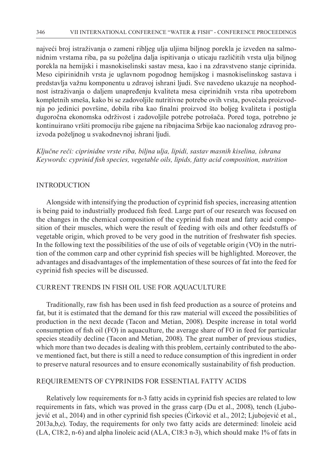najveći broj istraživanja o zameni ribljeg ulja uljima biljnog porekla je izveden na salmonidnim vrstama riba, pa su poželjna dalja ispitivanja o uticaju različitih vrsta ulja biljnog porekla na hemijski i masnokiselinski sastav mesa, kao i na zdravstveno stanje ciprinida. Meso cipirinidnih vrsta je uglavnom pogodnog hemijskog i masnokiselinskog sastava i predstavlja važnu komponentu u zdravoj ishrani ljudi. Sve navedeno ukazuje na neophodnost istraživanja o daljem unapređenju kvaliteta mesa ciprinidnih vrsta riba upotrebom kompletnih smeša, kako bi se zadovoljile nutritivne potrebe ovih vrsta, povećala proizvodnja po jedinici površine, dobila riba kao finalni proizvod što boljeg kvaliteta i postigla dugoročna ekonomska održivost i zadovoljile potrebe potrošača. Pored toga, potrebno je kontinuirano vršiti promociju ribe gajene na ribnjacima Srbije kao nacionalog zdravog proizvoda poželjnog u svakodnevnoj ishrani ljudi.

*Ključne reči: ciprinidne vrste riba, biljna ulja, lipidi, sastav masnih kiselina, ishrana Keywords: cyprinid fish species, vegetable oils, lipids, fatty acid composition, nutrition*

### **INTRODUCTION**

Alongside with intensifying the production of cyprinid fish species, increasing attention is being paid to industrially produced fish feed. Large part of our research was focused on the changes in the chemical composition of the cyprinid fish meat and fatty acid composition of their muscles, which were the result of feeding with oils and other feedstuffs of vegetable origin, which proved to be very good in the nutrition of freshwater fish species. In the following text the possibilities of the use of oils of vegetable origin (VO) in the nutrition of the common carp and other cyprinid fish species will be highlighted. Moreover, the advantages and disadvantages of the implementation of these sources of fat into the feed for cyprinid fish species will be discussed.

### CURRENT TRENDS IN FISH OIL USE FOR AQUACULTURE

Traditionally, raw fish has been used in fish feed production as a source of proteins and fat, but it is estimated that the demand for this raw material will exceed the possibilities of production in the next decade (Tacon and Metian, 2008). Despite increase in total world consumption of fish oil (FO) in aquaculture, the average share of FO in feed for particular species steadily decline (Tacon and Metian, 2008). The great number of previous studies, which more than two decades is dealing with this problem, certainly contributed to the above mentioned fact, but there is still a need to reduce consumption of this ingredient in order to preserve natural resources and to ensure economically sustainability of fish production.

# REQUIREMENTS OF CYPRINIDS FOR ESSENTIAL FATTY ACIDS

Relatively low requirements for n-3 fatty acids in cyprinid fish species are related to low requirements in fats, which was proved in the grass carp (Du et al., 2008), tench (Ljubojević et al., 2014) and in other cyprinid fish species (Ćirković et al., 2012; Ljubojević et al., 2013a,b,c). Today, the requirements for only two fatty acids are determined: linoleic acid (LA, C18:2, n-6) and alpha linoleic acid (ALA, C18:3 n-3), which should make 1% of fats in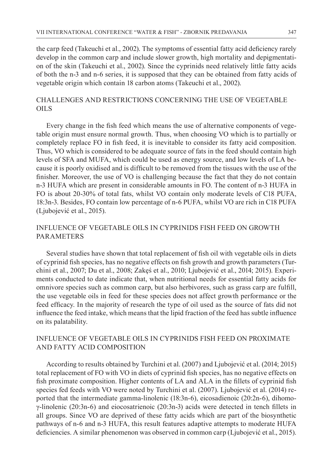the carp feed (Takeuchi et al., 2002). The symptoms of essential fatty acid deficiency rarely develop in the common carp and include slower growth, high mortality and depigmentation of the skin (Takeuchi et al., 2002). Since the cyprinids need relatively little fatty acids of both the n-3 and n-6 series, it is supposed that they can be obtained from fatty acids of vegetable origin which contain 18 carbon atoms (Takeuchi et al., 2002).

# CHALLENGES AND RESTRICTIONS CONCERNING THE USE OF VEGETABLE OILS

Every change in the fish feed which means the use of alternative components of vegetable origin must ensure normal growth. Thus, when choosing VO which is to partially or completely replace FO in fish feed, it is inevitable to consider its fatty acid composition. Thus, VO which is considered to be adequate source of fats in the feed should contain high levels of SFA and MUFA, which could be used as energy source, and low levels of LA because it is poorly oxidised and is difficult to be removed from the tissues with the use of the finisher. Moreover, the use of VO is challenging because the fact that they do not contain n-3 HUFA which are present in considerable amounts in FO. The content of n-3 HUFA in FO is about 20-30% of total fats, whilst VO contain only moderate levels of C18 PUFA, 18:3n-3. Besides, FO contain low percentage of n-6 PUFA, whilst VO are rich in C18 PUFA (Ljubojević et al., 2015).

# INFLUENCE OF VEGETABLE OILS IN CYPRINIDS FISH FEED ON GROWTH **PARAMETERS**

Several studies have shown that total replacement of fish oil with vegetable oils in diets of cyprinid fish species, has no negative effects on fish growth and growth parameters (Turchini et al., 2007; Du et al., 2008; Zakęś et al., 2010; Ljubojević et al., 2014; 2015). Experiments conducted to date indicate that, when nutritional needs for essential fatty acids for omnivore species such as common carp, but also herbivores, such as grass carp are fulfill, the use vegetable oils in feed for these species does not affect growth performance or the feed efficacy. In the majority of research the type of oil used as the source of fats did not influence the feed intake, which means that the lipid fraction of the feed has subtle influence on its palatability.

# INFLUENCE OF VEGETABLE OILS IN CYPRINIDS FISH FEED ON PROXIMATE AND FATTY ACID COMPOSITION

According to results obtained by Turchini et al. (2007) and Ljubojević et al. (2014; 2015) total replacement of FO with VO in diets of cyprinid fish species, has no negative effects on fish proximate composition. Higher contents of LA and ALA in the fillets of cyprinid fish species fed feeds with VO were noted by Turchini et al. (2007). Ljubojević et al. (2014) reported that the intermediate gamma-linolenic (18:3n-6), eicosadienoic (20:2n-6), dihomoγ-linolenic (20:3n-6) and eiocosatrienoic (20:3n-3) acids were detected in tench fillets in all groups. Since VO are deprived of these fatty acids which are part of the biosynthetic pathways of n-6 and n-3 HUFA, this result features adaptive attempts to moderate HUFA deficiencies. A similar phenomenon was observed in common carp (Ljubojević et al., 2015).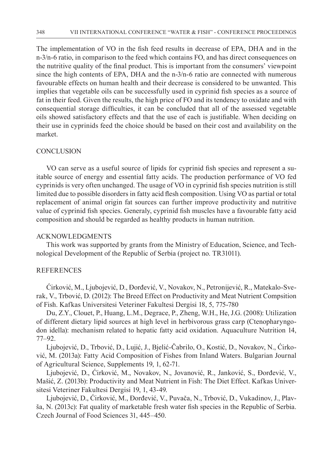The implementation of VO in the fish feed results in decrease of EPA, DHA and in the n-3/n-6 ratio, in comparison to the feed which contains FO, and has direct consequences on the nutritive quality of the final product. This is important from the consumers' viewpoint since the high contents of EPA, DHA and the n-3/n-6 ratio are connected with numerous favourable effects on human health and their decrease is considered to be unwanted. This implies that vegetable oils can be successfully used in cyprinid fish species as a source of fat in their feed. Given the results, the high price of FO and its tendency to oxidate and with consequential storage difficulties, it can be concluded that all of the assessed vegetable oils showed satisfactory effects and that the use of each is justifiable. When deciding on their use in cyprinids feed the choice should be based on their cost and availability on the market.

### **CONCLUSION**

VO can serve as a useful source of lipids for cyprinid fish species and represent a suitable source of energy and essential fatty acids. The production performance of VO fed cyprinids is very often unchanged. The usage of VO in cyprinid fish species nutrition is still limited due to possible disorders in fatty acid flesh composition. Using VO as partial or total replacement of animal origin fat sources can further improve productivity and nutritive value of cyprinid fish species. Generaly, cyprinid fish muscles have a favourable fatty acid composition and should be regarded as healthy products in human nutrition.

#### ACKNOWLEDGMENTS

This work was supported by grants from the Ministry of Education, Science, and Technological Development of the Republic of Serbia (project no. TR31011).

## REFERENCES

Ćirković, M., Ljubojević, D., Đorđević, V., Novakov, N., Petronijević, R., Matekalo-Sverak, V., Trbović, D. (2012): The Breed Effect on Productivity and Meat Nutrient Compsition of Fish. Kafkas Universitesi Veteriner Fakultesi Dergisi 18, 5, 775-780

Du, Z.Y., Clouet, P., Huang, L.M., Degrace, P., Zheng, W.H., He, J.G. (2008): Utilization of different dietary lipid sources at high level in herbivorous grass carp (Ctenopharyngodon idella): mechanism related to hepatic fatty acid oxidation. Aquaculture Nutrition 14, 77–92.

Ljubojević, D., Trbović, D., Lujić, J., Bjelić-Čabrilo, O., Kostić, D., Novakov, N., Ćirković, M. (2013a): Fatty Acid Composition of Fishes from Inland Waters. Bulgarian Journal of Agricultural Science, Supplements 19, 1, 62-71.

Ljubojević, D., Ćirković, M., Novakov, N., Jovanović, R., Janković, S., Đorđević, V., Mašić, Z. (2013b): Productivity and Meat Nutrient in Fish: The Diet Effect. Kafkas Universitesi Veteriner Fakultesi Dergisi 19, 1, 43-49.

Ljubojević, D., Ćirković, M., Đorđević, V., Puvača, N., Trbović, D., Vukadinov, J., Plavša, N. (2013c): Fat quality of marketable fresh water fish species in the Republic of Serbia. Czech Journal of Food Sciences 31, 445–450.